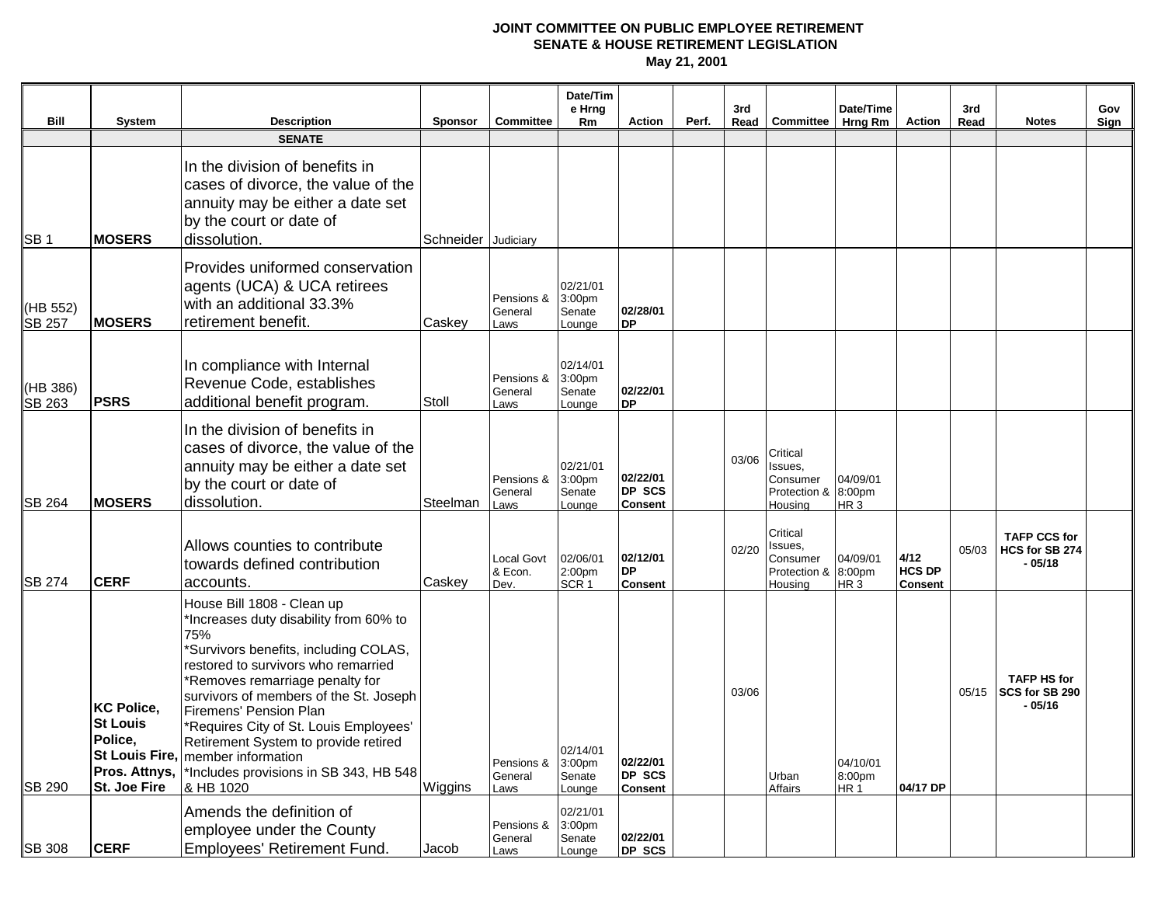|                           |                                                                                         |                                                                                                                                                                                                                                                                                                                                                                                                                                                    |                     |                               | Date/Tim<br>e Hrng                                 |                                             |       | 3rd   |                                                            | Date/Time                             |                                         | 3rd   |                                                  | Gov  |
|---------------------------|-----------------------------------------------------------------------------------------|----------------------------------------------------------------------------------------------------------------------------------------------------------------------------------------------------------------------------------------------------------------------------------------------------------------------------------------------------------------------------------------------------------------------------------------------------|---------------------|-------------------------------|----------------------------------------------------|---------------------------------------------|-------|-------|------------------------------------------------------------|---------------------------------------|-----------------------------------------|-------|--------------------------------------------------|------|
| <b>Bill</b>               | <b>System</b>                                                                           | Description<br><b>SENATE</b>                                                                                                                                                                                                                                                                                                                                                                                                                       | <b>Sponsor</b>      | <b>Committee</b>              | Rm                                                 | <b>Action</b>                               | Perf. |       | Read Committee                                             | Hrng Rm                               | Action                                  | Read  | <b>Notes</b>                                     | Sign |
| SB <sub>1</sub>           | <b>MOSERS</b>                                                                           | In the division of benefits in<br>cases of divorce, the value of the<br>annuity may be either a date set<br>by the court or date of<br>dissolution.                                                                                                                                                                                                                                                                                                | Schneider Judiciary |                               |                                                    |                                             |       |       |                                                            |                                       |                                         |       |                                                  |      |
| (HB 552)<br><b>SB 257</b> | <b>MOSERS</b>                                                                           | Provides uniformed conservation<br>agents (UCA) & UCA retirees<br>with an additional 33.3%<br>retirement benefit.                                                                                                                                                                                                                                                                                                                                  | Caskey              | Pensions &<br>General<br>Laws | 02/21/01<br>3:00 <sub>pm</sub><br>Senate<br>Lounge | 02/28/01<br><b>DP</b>                       |       |       |                                                            |                                       |                                         |       |                                                  |      |
| (HB 386)<br><b>SB 263</b> | <b>PSRS</b>                                                                             | In compliance with Internal<br>Revenue Code, establishes<br>additional benefit program.                                                                                                                                                                                                                                                                                                                                                            | Stoll               | Pensions &<br>General<br>Laws | 02/14/01<br>3:00 <sub>pm</sub><br>Senate<br>Lounge | 02/22/01<br><b>DP</b>                       |       |       |                                                            |                                       |                                         |       |                                                  |      |
| <b>SB 264</b>             | <b>MOSERS</b>                                                                           | In the division of benefits in<br>cases of divorce, the value of the<br>annuity may be either a date set<br>by the court or date of<br>dissolution.                                                                                                                                                                                                                                                                                                | Steelman            | Pensions &<br>General<br>Laws | 02/21/01<br>3:00 <sub>pm</sub><br>Senate<br>Lounge | 02/22/01<br><b>DP SCS</b><br><b>Consent</b> |       | 03/06 | Critical<br>Issues,<br>Consumer<br>Protection &<br>Housing | 04/09/01<br>8:00pm<br>HR <sub>3</sub> |                                         |       |                                                  |      |
| <b>SB 274</b>             | <b>CERF</b>                                                                             | Allows counties to contribute<br>towards defined contribution<br>accounts.                                                                                                                                                                                                                                                                                                                                                                         | Caskey              | Local Govt<br>& Econ.<br>Dev. | 02/06/01<br>2:00pm<br>SCR <sub>1</sub>             | 02/12/01<br><b>DP</b><br>Consent            |       | 02/20 | Critical<br>Issues,<br>Consumer<br>Protection &<br>Housing | 04/09/01<br>8:00pm<br>HR <sub>3</sub> | 4/12<br><b>HCS DP</b><br><b>Consent</b> | 05/03 | <b>TAFP CCS for</b><br>HCS for SB 274<br>- 05/18 |      |
| <b>SB 290</b>             | <b>KC Police,</b><br><b>St Louis</b><br>Police,<br>Pros. Attnys,<br><b>St. Joe Fire</b> | House Bill 1808 - Clean up<br>*Increases duty disability from 60% to<br>75%<br>*Survivors benefits, including COLAS,<br>restored to survivors who remarried<br>*Removes remarriage penalty for<br>survivors of members of the St. Joseph<br>Firemens' Pension Plan<br>*Requires City of St. Louis Employees'<br>Retirement System to provide retired<br>St Louis Fire,   member information<br>*Includes provisions in SB 343, HB 548<br>& HB 1020 | Wiggins             | Pensions &<br>General<br>Laws | 02/14/01<br>3:00pm<br>Senate<br>Lounge             | 02/22/01<br>DP SCS<br><b>Consent</b>        |       | 03/06 | Urban<br>Affairs                                           | 04/10/01<br>8:00pm<br>HR <sub>1</sub> | 04/17 DP                                | 05/15 | <b>TAFP HS for</b><br>SCS for SB 290<br>- 05/16  |      |
| <b>SB 308</b>             | <b>CERF</b>                                                                             | Amends the definition of<br>employee under the County<br>Employees' Retirement Fund.                                                                                                                                                                                                                                                                                                                                                               | Jacob               | Pensions &<br>General<br>Laws | 02/21/01<br>3:00pm<br>Senate<br>Lounge             | 02/22/01<br>DP SCS                          |       |       |                                                            |                                       |                                         |       |                                                  |      |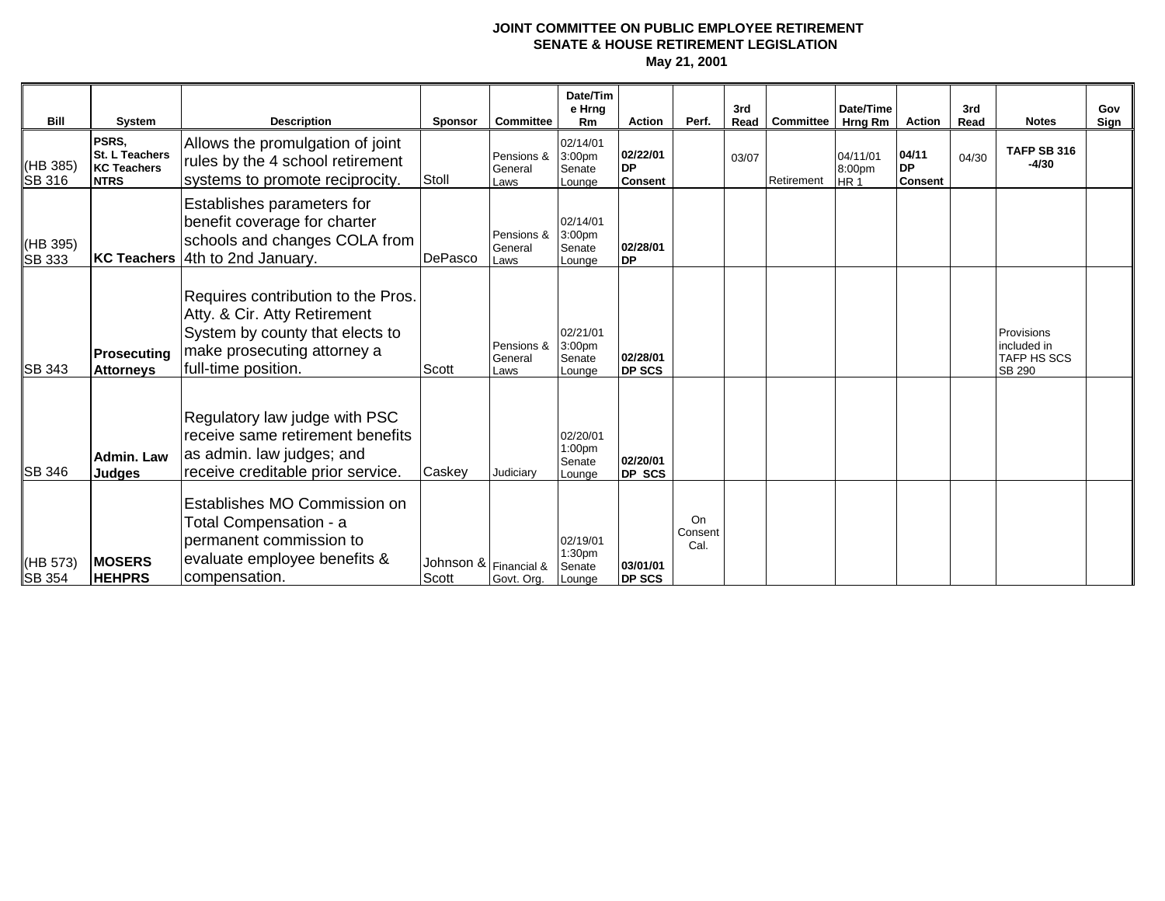| <b>Bill</b>               | <b>System</b>                                                | <b>Description</b>                                                                                                                                          | <b>Sponsor</b>                 | <b>Committee</b>              | Date/Tim<br>e Hrng<br>Rm               | <b>Action</b>                           | Perf.                 | 3rd<br>Read | <b>Committee</b> | Date/Time<br>Hrng Rm                  | <b>Action</b>                        | 3rd<br>Read | <b>Notes</b>                                              | Gov<br>Sign |
|---------------------------|--------------------------------------------------------------|-------------------------------------------------------------------------------------------------------------------------------------------------------------|--------------------------------|-------------------------------|----------------------------------------|-----------------------------------------|-----------------------|-------------|------------------|---------------------------------------|--------------------------------------|-------------|-----------------------------------------------------------|-------------|
| (HB 385)<br>SB 316        | PSRS.<br>St. L Teachers<br><b>KC Teachers</b><br><b>NTRS</b> | Allows the promulgation of joint<br>rules by the 4 school retirement<br>systems to promote reciprocity.                                                     | Stoll                          | Pensions &<br>General<br>Laws | 02/14/01<br>3:00pm<br>Senate<br>Lounge | 02/22/01<br><b>DP</b><br><b>Consent</b> |                       | 03/07       | Retirement       | 04/11/01<br>8:00pm<br>HR <sub>1</sub> | 04/11<br><b>DP</b><br><b>Consent</b> | 04/30       | TAFP SB 316<br>$-4/30$                                    |             |
| (HB 395)<br><b>SB 333</b> | <b>KC Teachers</b>                                           | Establishes parameters for<br>benefit coverage for charter<br>schools and changes COLA from<br>4th to 2nd January.                                          | DePasco                        | Pensions &<br>General<br>Laws | 02/14/01<br>3:00pm<br>Senate<br>Lounae | 02/28/01<br><b>DP</b>                   |                       |             |                  |                                       |                                      |             |                                                           |             |
| <b>SB 343</b>             | Prosecuting<br><b>Attorneys</b>                              | Requires contribution to the Pros.<br>Atty. & Cir. Atty Retirement<br>System by county that elects to<br>make prosecuting attorney a<br>full-time position. | Scott                          | Pensions &<br>General<br>Laws | 02/21/01<br>3:00pm<br>Senate<br>Lounge | 02/28/01<br>DP SCS                      |                       |             |                  |                                       |                                      |             | Provisions<br>included in<br><b>TAFP HS SCS</b><br>SB 290 |             |
| <b>SB 346</b>             | Admin. Law<br>Judges                                         | Regulatory law judge with PSC<br>receive same retirement benefits<br>as admin. law judges; and<br>receive creditable prior service.                         | Caskey                         | Judiciary                     | 02/20/01<br>1:00pm<br>Senate<br>Lounge | 02/20/01<br>DP SCS                      |                       |             |                  |                                       |                                      |             |                                                           |             |
| (HB 573)<br>SB 354        | <b>MOSERS</b><br><b>HEHPRS</b>                               | Establishes MO Commission on<br>Total Compensation - a<br>permanent commission to<br>evaluate employee benefits &<br>compensation.                          | Johnson & Financial &<br>Scott | Govt. Org.                    | 02/19/01<br>1:30pm<br>Senate<br>Lounge | 03/01/01<br><b>DP SCS</b>               | On<br>Consent<br>Cal. |             |                  |                                       |                                      |             |                                                           |             |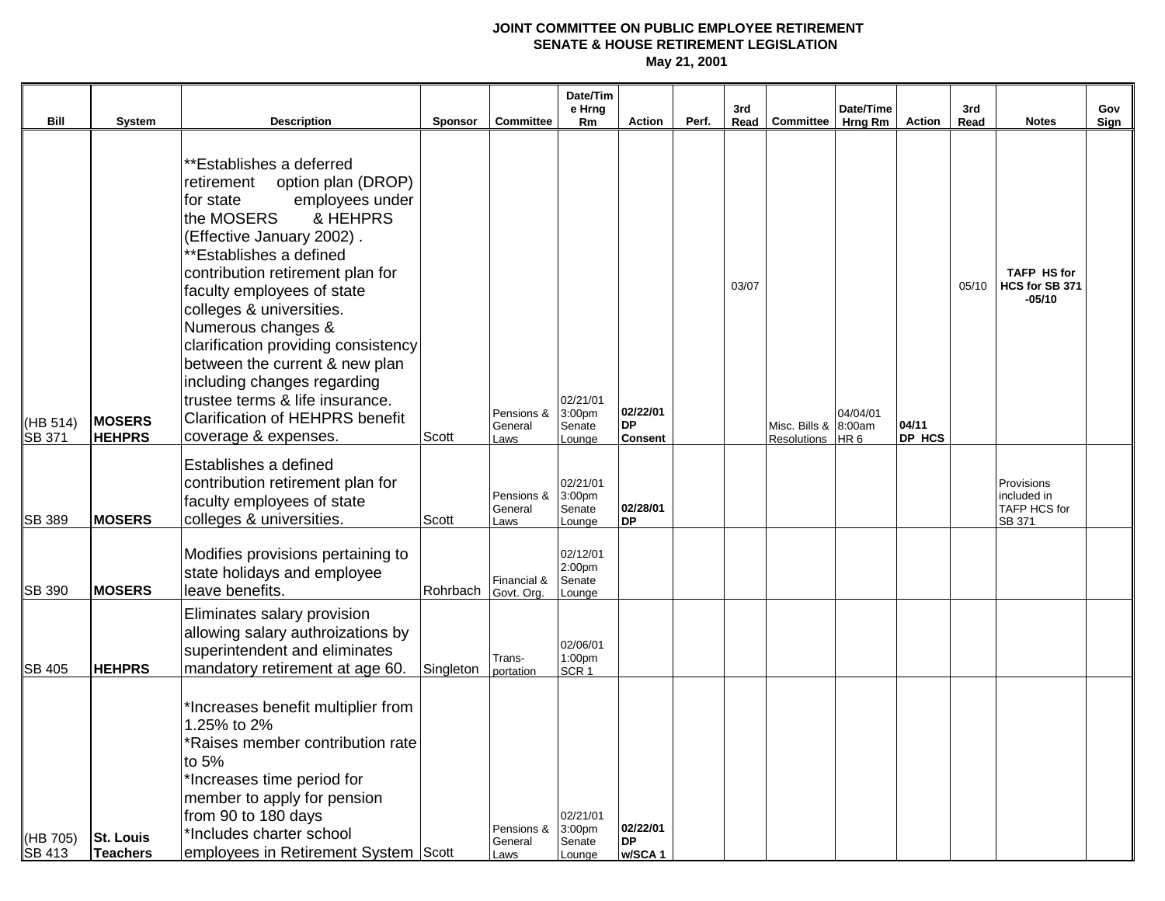|                           |                                |                                                                                                                                                                                                                                                                                                                                                                                                                                                                                                                 |           |                               | Date/Tim<br>e Hrng                                 |                                         |       | 3rd   |                                     | Date/Time                   |                 | 3rd   |                                                     | Gov  |
|---------------------------|--------------------------------|-----------------------------------------------------------------------------------------------------------------------------------------------------------------------------------------------------------------------------------------------------------------------------------------------------------------------------------------------------------------------------------------------------------------------------------------------------------------------------------------------------------------|-----------|-------------------------------|----------------------------------------------------|-----------------------------------------|-------|-------|-------------------------------------|-----------------------------|-----------------|-------|-----------------------------------------------------|------|
| Bill                      | System                         | <b>Description</b>                                                                                                                                                                                                                                                                                                                                                                                                                                                                                              | Sponsor   | <b>Committee</b>              | Rm                                                 | <b>Action</b>                           | Perf. |       | Read   Committee                    | Hrng Rm                     | Action          | Read  | <b>Notes</b>                                        | Sign |
| (HB 514)<br><b>SB 371</b> | <b>MOSERS</b><br><b>HEHPRS</b> | **Establishes a deferred<br>option plan (DROP)<br>retirement<br>employees under<br>for state<br>the MOSERS<br>& HEHPRS<br>(Effective January 2002).<br>**Establishes a defined<br>contribution retirement plan for<br>faculty employees of state<br>colleges & universities.<br>Numerous changes &<br>clarification providing consistency<br>between the current & new plan<br>including changes regarding<br>trustee terms & life insurance.<br><b>Clarification of HEHPRS benefit</b><br>coverage & expenses. | Scott     | Pensions &<br>General<br>Laws | 02/21/01<br>3:00 <sub>pm</sub><br>Senate<br>Lounge | 02/22/01<br><b>DP</b><br><b>Consent</b> |       | 03/07 | Misc. Bills & 8:00am<br>Resolutions | 04/04/01<br>HR <sub>6</sub> | 04/11<br>DP HCS | 05/10 | <b>TAFP HS for</b><br>HCS for SB 371<br>-05/10      |      |
| <b>ISB 389</b>            | <b>MOSERS</b>                  | Establishes a defined<br>contribution retirement plan for<br>faculty employees of state<br>colleges & universities.                                                                                                                                                                                                                                                                                                                                                                                             | Scott     | Pensions &<br>General<br>Laws | 02/21/01<br>3:00pm<br>Senate<br>Lounge             | 02/28/01<br><b>DP</b>                   |       |       |                                     |                             |                 |       | Provisions<br>included in<br>TAFP HCS for<br>SB 371 |      |
| <b>SB 390</b>             | <b>MOSERS</b>                  | Modifies provisions pertaining to<br>state holidays and employee<br>leave benefits.                                                                                                                                                                                                                                                                                                                                                                                                                             | Rohrbach  | Financial &<br>Govt. Org.     | 02/12/01<br>2:00pm<br>Senate<br>Lounge             |                                         |       |       |                                     |                             |                 |       |                                                     |      |
| <b>SB 405</b>             | <b>HEHPRS</b>                  | Eliminates salary provision<br>allowing salary authroizations by<br>superintendent and eliminates<br>mandatory retirement at age 60.                                                                                                                                                                                                                                                                                                                                                                            | Singleton | Trans-<br>portation           | 02/06/01<br>1:00pm<br>SCR <sub>1</sub>             |                                         |       |       |                                     |                             |                 |       |                                                     |      |
| (HB 705)<br><b>SB 413</b> | <b>St. Louis</b><br>Teachers   | *Increases benefit multiplier from<br>1.25% to 2%<br>*Raises member contribution rate<br>to 5%<br>*Increases time period for<br>member to apply for pension<br>from 90 to 180 days<br>*Includes charter school<br>employees in Retirement System Scott                                                                                                                                                                                                                                                          |           | Pensions &<br>General<br>Laws | 02/21/01<br>3:00 <sub>pm</sub><br>Senate<br>Lounge | 02/22/01<br><b>DP</b><br>w/SCA1         |       |       |                                     |                             |                 |       |                                                     |      |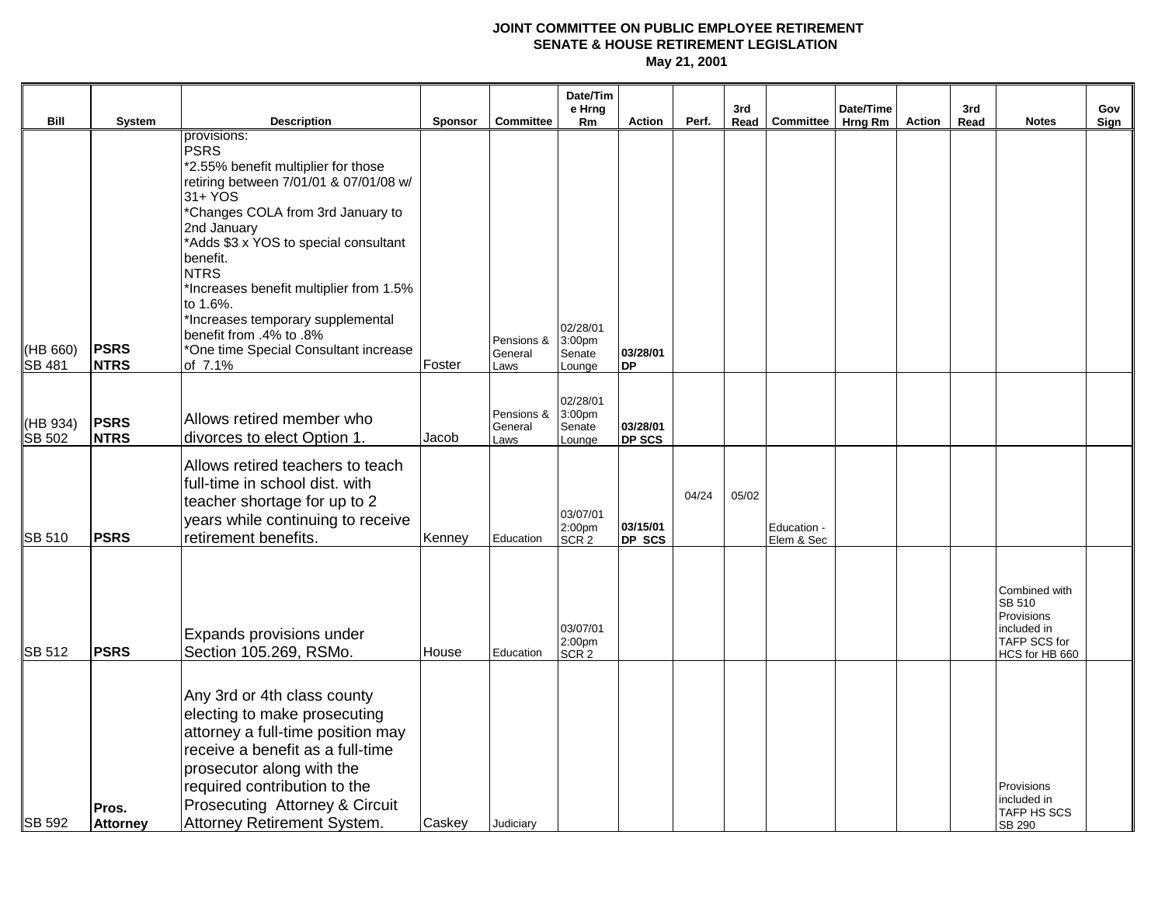|                           |                            |                                                                                                                                                                                                                                                                                                                                                                                                                           |                |                               | Date/Tim<br>e Hrng                                 |                           |       | 3rd   |                           | Date/Time |        | 3rd  |                                                                                                      | Gov  |
|---------------------------|----------------------------|---------------------------------------------------------------------------------------------------------------------------------------------------------------------------------------------------------------------------------------------------------------------------------------------------------------------------------------------------------------------------------------------------------------------------|----------------|-------------------------------|----------------------------------------------------|---------------------------|-------|-------|---------------------------|-----------|--------|------|------------------------------------------------------------------------------------------------------|------|
| Bill                      | <b>System</b>              | <b>Description</b>                                                                                                                                                                                                                                                                                                                                                                                                        | <b>Sponsor</b> | <b>Committee</b>              | Rm                                                 | <b>Action</b>             | Perf. |       | Read Committee            | Hrng Rm   | Action | Read | <b>Notes</b>                                                                                         | Sign |
| (HB 660)<br><b>SB 481</b> | <b>PSRS</b><br><b>NTRS</b> | provisions:<br><b>PSRS</b><br>*2.55% benefit multiplier for those<br>retiring between 7/01/01 & 07/01/08 w/<br>31+ YOS<br>*Changes COLA from 3rd January to<br>2nd January<br>*Adds \$3 x YOS to special consultant<br>benefit.<br><b>NTRS</b><br>*Increases benefit multiplier from 1.5%<br>to 1.6%.<br>*Increases temporary supplemental<br>benefit from .4% to .8%<br>*One time Special Consultant increase<br>of 7.1% | Foster         | Pensions &<br>General<br>Laws | 02/28/01<br>3:00 <sub>pm</sub><br>Senate<br>Lounge | 03/28/01<br><b>DP</b>     |       |       |                           |           |        |      |                                                                                                      |      |
| (HB 934)<br><b>SB 502</b> | <b>PSRS</b><br><b>NTRS</b> | Allows retired member who<br>divorces to elect Option 1.                                                                                                                                                                                                                                                                                                                                                                  | Jacob          | Pensions &<br>General<br>Laws | 02/28/01<br>3:00 <sub>pm</sub><br>Senate<br>Lounge | 03/28/01<br><b>DP SCS</b> |       |       |                           |           |        |      |                                                                                                      |      |
| <b>ISB 510</b>            | <b>PSRS</b>                | Allows retired teachers to teach<br>full-time in school dist. with<br>teacher shortage for up to 2<br>years while continuing to receive<br>retirement benefits.                                                                                                                                                                                                                                                           | Kenney         | Education                     | 03/07/01<br>2:00 <sub>pm</sub><br>SCR <sub>2</sub> | 03/15/01<br>DP SCS        | 04/24 | 05/02 | Education -<br>Elem & Sec |           |        |      |                                                                                                      |      |
| <b>SB 512</b>             | <b>PSRS</b>                | Expands provisions under<br>Section 105.269, RSMo.                                                                                                                                                                                                                                                                                                                                                                        | House          | Education                     | 03/07/01<br>2:00pm<br>SCR <sub>2</sub>             |                           |       |       |                           |           |        |      | Combined with<br><b>SB 510</b><br>Provisions<br>included in<br><b>TAFP SCS for</b><br>HCS for HB 660 |      |
| <b>SB 592</b>             | Pros.<br><b>Attorney</b>   | Any 3rd or 4th class county<br>electing to make prosecuting<br>attorney a full-time position may<br>receive a benefit as a full-time<br>prosecutor along with the<br>required contribution to the<br>Prosecuting Attorney & Circuit<br>Attorney Retirement System.                                                                                                                                                        | Caskey         | Judiciary                     |                                                    |                           |       |       |                           |           |        |      | Provisions<br>included in<br><b>TAFP HS SCS</b><br>SB 290                                            |      |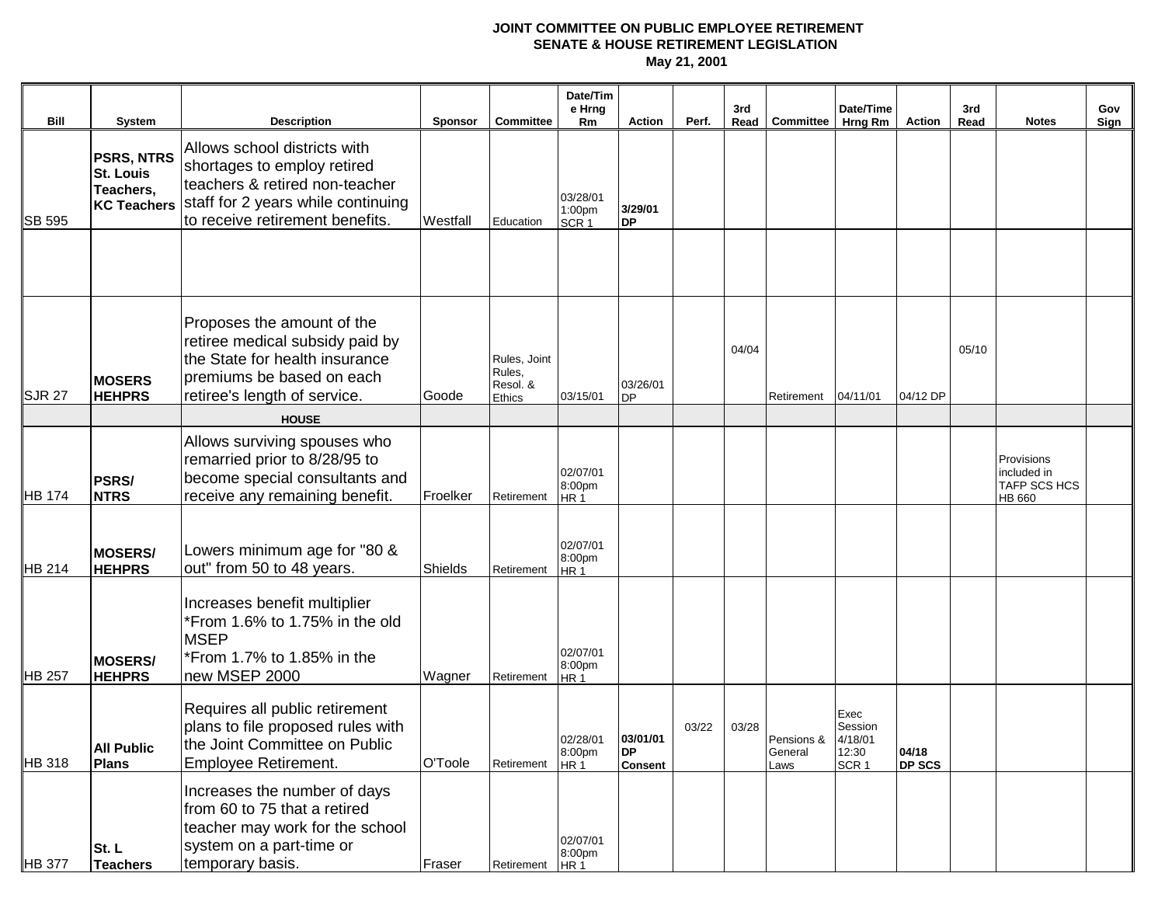|                       |                                                                                    |                                                                                                                                                                                              |                            |                                                     | Date/Tim<br>e Hrng                             |                                       |       | 3rd   |                               | Date/Time                                               |                        | 3rd   |                                                            | Gov  |
|-----------------------|------------------------------------------------------------------------------------|----------------------------------------------------------------------------------------------------------------------------------------------------------------------------------------------|----------------------------|-----------------------------------------------------|------------------------------------------------|---------------------------------------|-------|-------|-------------------------------|---------------------------------------------------------|------------------------|-------|------------------------------------------------------------|------|
| Bill<br><b>SB 595</b> | System<br><b>PSRS, NTRS</b><br><b>St. Louis</b><br>Teachers,<br><b>KC Teachers</b> | <b>Description</b><br>Allows school districts with<br>shortages to employ retired<br>teachers & retired non-teacher<br>staff for 2 years while continuing<br>to receive retirement benefits. | <b>Sponsor</b><br>Westfall | <b>Committee</b><br>Education                       | Rm<br>03/28/01<br>1:00pm<br>SCR <sub>1</sub>   | <b>Action</b><br>3/29/01<br><b>DP</b> | Perf. |       | Read Committee                | <b>Hrng Rm</b>                                          | Action                 | Read  | <b>Notes</b>                                               | Sign |
| SJR 27                | <b>MOSERS</b><br><b>HEHPRS</b>                                                     | Proposes the amount of the<br>retiree medical subsidy paid by<br>the State for health insurance<br>premiums be based on each<br>retiree's length of service.                                 | Goode                      | Rules, Joint<br>Rules,<br>Resol. &<br><b>Ethics</b> | 03/15/01                                       | 03/26/01<br><b>DP</b>                 |       | 04/04 | Retirement                    | 04/11/01                                                | 04/12 DP               | 05/10 |                                                            |      |
|                       |                                                                                    | <b>HOUSE</b>                                                                                                                                                                                 |                            |                                                     |                                                |                                       |       |       |                               |                                                         |                        |       |                                                            |      |
| <b>HB 174</b>         | <b>PSRS/</b><br><b>NTRS</b>                                                        | Allows surviving spouses who<br>remarried prior to 8/28/95 to<br>become special consultants and<br>receive any remaining benefit.                                                            | Froelker                   | Retirement                                          | 02/07/01<br>8:00pm<br>HR 1                     |                                       |       |       |                               |                                                         |                        |       | Provisions<br>included in<br><b>TAFP SCS HCS</b><br>HB 660 |      |
| <b>HB 214</b>         | <b>MOSERS/</b><br><b>HEHPRS</b>                                                    | Lowers minimum age for "80 &<br>out" from 50 to 48 years.                                                                                                                                    | Shields                    | Retirement                                          | 02/07/01<br>8:00pm<br>HR <sub>1</sub>          |                                       |       |       |                               |                                                         |                        |       |                                                            |      |
| <b>HB 257</b>         | <b>MOSERS/</b><br><b>HEHPRS</b>                                                    | Increases benefit multiplier<br>*From 1.6% to 1.75% in the old<br><b>MSEP</b><br>*From 1.7% to 1.85% in the<br>new MSEP 2000                                                                 | Wagner                     | Retirement                                          | 02/07/01<br>8:00pm<br>HR <sub>1</sub>          |                                       |       |       |                               |                                                         |                        |       |                                                            |      |
| <b>HB</b> 318         | <b>All Public</b><br><b>Plans</b>                                                  | Requires all public retirement<br>plans to file proposed rules with<br>the Joint Committee on Public<br>Employee Retirement.                                                                 | O'Toole                    | Retirement                                          | 02/28/01 03/01/01<br>8:00pm<br>HR <sub>1</sub> | <b>DP</b><br><b>Consent</b>           | 03/22 | 03/28 | Pensions &<br>General<br>Laws | Exec<br>Session<br>4/18/01<br>12:30<br>SCR <sub>1</sub> | 04/18<br><b>DP SCS</b> |       |                                                            |      |
| <b>HB 377</b>         | St.L<br><b>Teachers</b>                                                            | Increases the number of days<br>from 60 to 75 that a retired<br>teacher may work for the school<br>system on a part-time or<br>temporary basis.                                              | Fraser                     | Retirement                                          | 02/07/01<br>8:00pm<br>HR <sub>1</sub>          |                                       |       |       |                               |                                                         |                        |       |                                                            |      |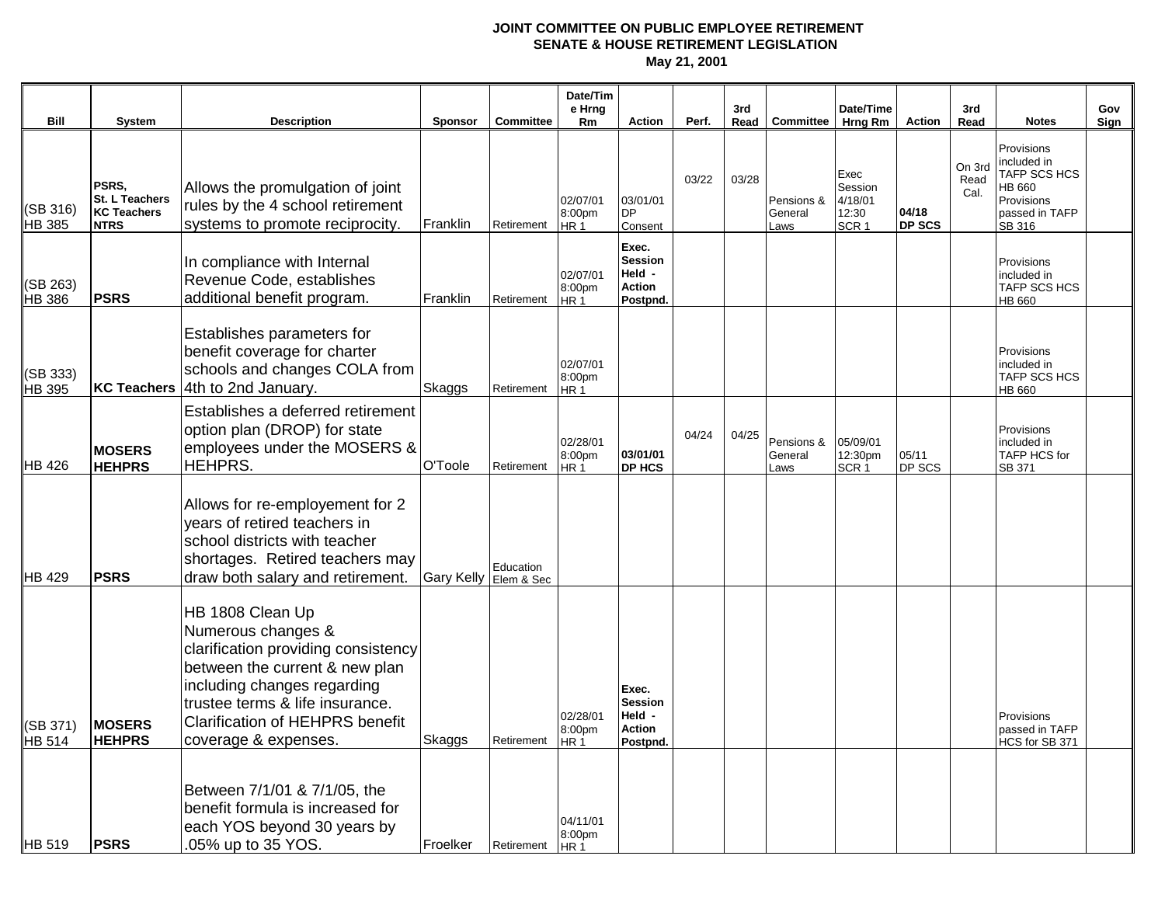| Bill                      | <b>System</b>                                                | <b>Description</b>                                                                                                                                                                                                                                  | <b>Sponsor</b>        | <b>Committee</b> | Date/Tim<br>e Hrng<br>Rm              | <b>Action</b>                                                  | Perf. | 3rd   | Read Committee                | Date/Time<br>Hrng Rm                                    | Action                 | 3rd<br>Read            | <b>Notes</b>                                                                                  | Gov<br>Sign |
|---------------------------|--------------------------------------------------------------|-----------------------------------------------------------------------------------------------------------------------------------------------------------------------------------------------------------------------------------------------------|-----------------------|------------------|---------------------------------------|----------------------------------------------------------------|-------|-------|-------------------------------|---------------------------------------------------------|------------------------|------------------------|-----------------------------------------------------------------------------------------------|-------------|
| (SB 316)<br>HB 385        | PSRS,<br>St. L Teachers<br><b>KC Teachers</b><br><b>NTRS</b> | Allows the promulgation of joint<br>rules by the 4 school retirement<br>systems to promote reciprocity.                                                                                                                                             | Franklin              | Retirement       | 02/07/01<br>8:00pm<br>HR <sub>1</sub> | 03/01/01<br><b>DP</b><br>Consent                               | 03/22 | 03/28 | Pensions &<br>General<br>Laws | Exec<br>Session<br>4/18/01<br>12:30<br>SCR <sub>1</sub> | 04/18<br><b>DP SCS</b> | On 3rd<br>Read<br>Cal. | Provisions<br>included in<br>TAFP SCS HCS<br>HB 660<br>Provisions<br>passed in TAFP<br>SB 316 |             |
| (SB 263)<br><b>HB 386</b> | <b>PSRS</b>                                                  | In compliance with Internal<br>Revenue Code, establishes<br>additional benefit program.                                                                                                                                                             | Franklin              | Retirement       | 02/07/01<br>8:00pm<br>HR <sub>1</sub> | Exec.<br><b>Session</b><br>Held -<br><b>Action</b><br>Postpnd. |       |       |                               |                                                         |                        |                        | Provisions<br>included in<br><b>TAFP SCS HCS</b><br>HB 660                                    |             |
| (SB 333)<br>HB 395        |                                                              | Establishes parameters for<br>benefit coverage for charter<br>schools and changes COLA from<br>KC Teachers 4th to 2nd January.                                                                                                                      | Skaggs                | Retirement       | 02/07/01<br>8:00pm<br>HR <sub>1</sub> |                                                                |       |       |                               |                                                         |                        |                        | Provisions<br>included in<br><b>TAFP SCS HCS</b><br>HB 660                                    |             |
| <b>HB</b> 426             | <b>MOSERS</b><br><b>HEHPRS</b>                               | Establishes a deferred retirement<br>option plan (DROP) for state<br>employees under the MOSERS &<br><b>HEHPRS.</b>                                                                                                                                 | O'Toole               | Retirement       | 02/28/01<br>8:00pm<br>HR <sub>1</sub> | 03/01/01<br>DP HCS                                             | 04/24 | 04/25 | Pensions &<br>General<br>Laws | 05/09/01<br>12:30pm<br>SCR <sub>1</sub>                 | 05/11<br>DP SCS        |                        | Provisions<br>included in<br>TAFP HCS for<br>SB 371                                           |             |
| <b>HB</b> 429             | <b>PSRS</b>                                                  | Allows for re-employement for 2<br>years of retired teachers in<br>school districts with teacher<br>shortages. Retired teachers may<br>draw both salary and retirement.                                                                             | Gary Kelly Elem & Sec | Education        |                                       |                                                                |       |       |                               |                                                         |                        |                        |                                                                                               |             |
| (SB 371)<br>HB 514        | <b>MOSERS</b><br><b>HEHPRS</b>                               | HB 1808 Clean Up<br>Numerous changes &<br>clarification providing consistency<br>between the current & new plan<br>including changes regarding<br>trustee terms & life insurance.<br><b>Clarification of HEHPRS benefit</b><br>coverage & expenses. | Skaggs                | Retirement HR 1  | 02/28/01<br>8:00pm                    | Exec.<br><b>Session</b><br>Held -<br><b>Action</b>             |       |       |                               |                                                         |                        |                        | Provisions<br>passed in TAFP<br>HCS for SB 371                                                |             |
| HB 519                    | <b>PSRS</b>                                                  | Between 7/1/01 & 7/1/05, the<br>benefit formula is increased for<br>each YOS beyond 30 years by<br>.05% up to 35 YOS.                                                                                                                               | Froelker              | Retirement       | 04/11/01<br>8:00pm<br><b>HR1</b>      | Postpnd.                                                       |       |       |                               |                                                         |                        |                        |                                                                                               |             |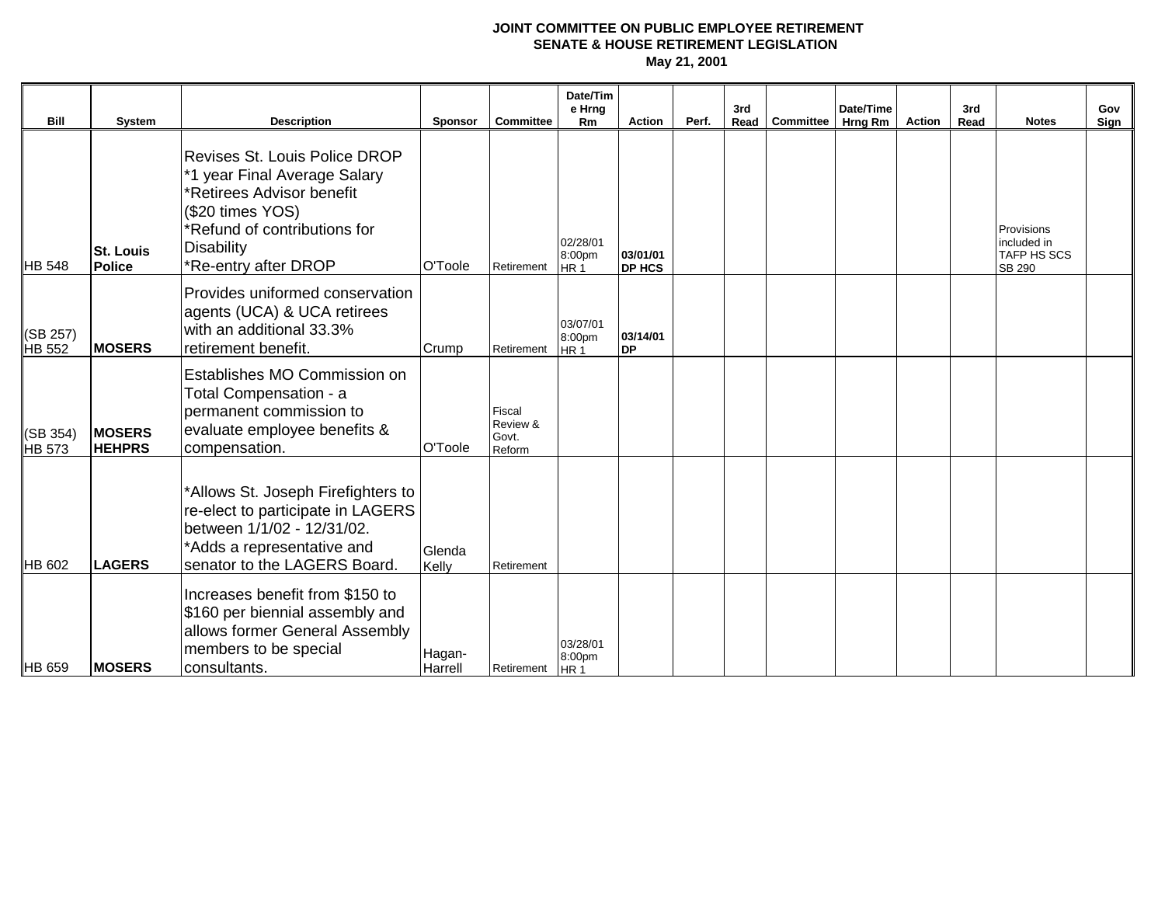| <b>Bill</b>        | System                         | <b>Description</b>                                                                                                                                                                          | <b>Sponsor</b>    | <b>Committee</b>                      | Date/Tim<br>e Hrng<br><b>Rm</b>       | <b>Action</b>             | Perf. | 3rd | Read Committee | Date/Time<br>Hrng Rm | Action | 3rd<br>Read | <b>Notes</b>                                                     | Gov<br>Sign |
|--------------------|--------------------------------|---------------------------------------------------------------------------------------------------------------------------------------------------------------------------------------------|-------------------|---------------------------------------|---------------------------------------|---------------------------|-------|-----|----------------|----------------------|--------|-------------|------------------------------------------------------------------|-------------|
| <b>HB 548</b>      | <b>St. Louis</b><br>Police     | <b>Revises St. Louis Police DROP</b><br>*1 year Final Average Salary<br>*Retirees Advisor benefit<br>(\$20 times YOS)<br>*Refund of contributions for<br>Disability<br>*Re-entry after DROP | O'Toole           | Retirement                            | 02/28/01<br>8:00pm<br>HR <sub>1</sub> | 03/01/01<br><b>DP HCS</b> |       |     |                |                      |        |             | Provisions<br>included in<br><b>TAFP HS SCS</b><br><b>SB 290</b> |             |
| (SB 257)<br>HB 552 | <b>MOSERS</b>                  | Provides uniformed conservation<br>agents (UCA) & UCA retirees<br>with an additional 33.3%<br>retirement benefit.                                                                           | Crump             | Retirement                            | 03/07/01<br>8:00pm<br>HR <sub>1</sub> | 03/14/01<br><b>DP</b>     |       |     |                |                      |        |             |                                                                  |             |
| (SB 354)<br>HB 573 | <b>MOSERS</b><br><b>HEHPRS</b> | <b>Establishes MO Commission on</b><br>Total Compensation - a<br>permanent commission to<br>evaluate employee benefits &<br>compensation.                                                   | O'Toole           | Fiscal<br>Review &<br>Govt.<br>Reform |                                       |                           |       |     |                |                      |        |             |                                                                  |             |
| HB 602             | <b>LAGERS</b>                  | *Allows St. Joseph Firefighters to<br>re-elect to participate in LAGERS<br>between 1/1/02 - 12/31/02.<br>*Adds a representative and<br>senator to the LAGERS Board.                         | Glenda<br>Kelly   | Retirement                            |                                       |                           |       |     |                |                      |        |             |                                                                  |             |
| HB 659             | <b>MOSERS</b>                  | Increases benefit from \$150 to<br>\$160 per biennial assembly and<br>allows former General Assembly<br>members to be special<br>consultants.                                               | Hagan-<br>Harrell | Retirement   HR 1                     | 03/28/01<br>8:00pm                    |                           |       |     |                |                      |        |             |                                                                  |             |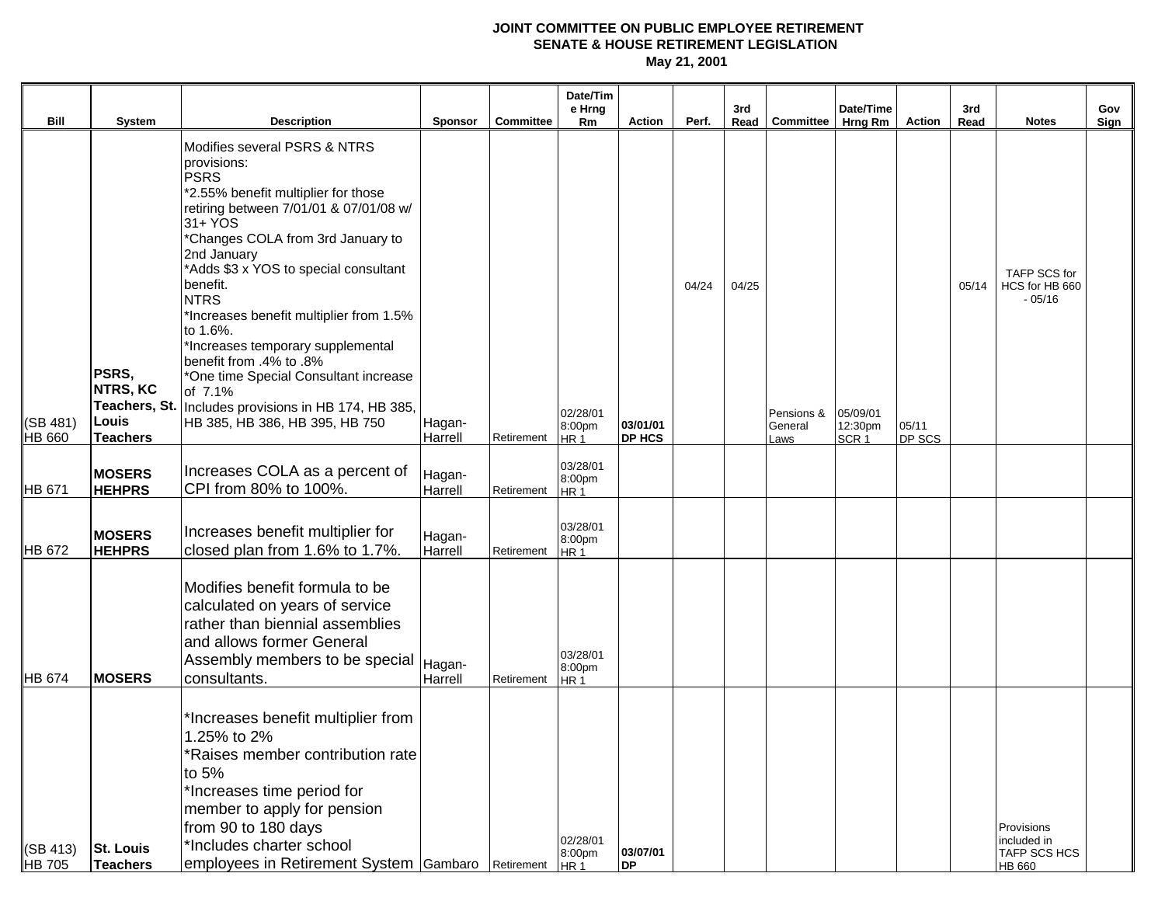|                           |                                     |                                                                                                                                                                                                                                                                                                                                                                                                                                                                                                                                                       |                   |                  | Date/Tim<br>e Hrng                    |                       |       | 3rd   |                       | Date/Time           |        | 3rd   |                                                     | Gov  |
|---------------------------|-------------------------------------|-------------------------------------------------------------------------------------------------------------------------------------------------------------------------------------------------------------------------------------------------------------------------------------------------------------------------------------------------------------------------------------------------------------------------------------------------------------------------------------------------------------------------------------------------------|-------------------|------------------|---------------------------------------|-----------------------|-------|-------|-----------------------|---------------------|--------|-------|-----------------------------------------------------|------|
| Bill                      | System                              | <b>Description</b>                                                                                                                                                                                                                                                                                                                                                                                                                                                                                                                                    | Sponsor           | <b>Committee</b> | <b>Rm</b>                             | Action                | Perf. |       | Read Committee        | Hrng Rm             | Action | Read  | <b>Notes</b>                                        | Sign |
| (SB 481)                  | PSRS,<br><b>NTRS, KC</b><br>Louis   | Modifies several PSRS & NTRS<br>provisions:<br><b>PSRS</b><br>*2.55% benefit multiplier for those<br>retiring between 7/01/01 & 07/01/08 w/<br>31+ YOS<br>*Changes COLA from 3rd January to<br>2nd January<br>*Adds \$3 x YOS to special consultant<br>benefit.<br><b>NTRS</b><br>*Increases benefit multiplier from 1.5%<br>to 1.6%.<br>*Increases temporary supplemental<br>benefit from .4% to .8%<br>*One time Special Consultant increase<br>of 7.1%<br>Teachers, St.   Includes provisions in HB 174, HB 385,<br>HB 385, HB 386, HB 395, HB 750 | Hagan-            |                  | 02/28/01<br>8:00pm                    | 03/01/01              | 04/24 | 04/25 | Pensions &<br>General | 05/09/01<br>12:30pm | 05/11  | 05/14 | TAFP SCS for<br>HCS for HB 660<br>$-05/16$          |      |
| <b>HB 660</b>             | <b>Teachers</b>                     |                                                                                                                                                                                                                                                                                                                                                                                                                                                                                                                                                       | Harrell           | Retirement       | HR 1                                  | DP HCS                |       |       | Laws                  | SCR <sub>1</sub>    | DP SCS |       |                                                     |      |
| <b>HB 671</b>             | <b>MOSERS</b><br><b>HEHPRS</b>      | Increases COLA as a percent of<br>CPI from 80% to 100%.                                                                                                                                                                                                                                                                                                                                                                                                                                                                                               | Hagan-<br>Harrell | Retirement       | 03/28/01<br>8:00pm<br>HR <sub>1</sub> |                       |       |       |                       |                     |        |       |                                                     |      |
| HB 672                    | <b>MOSERS</b><br><b>HEHPRS</b>      | Increases benefit multiplier for<br>closed plan from 1.6% to 1.7%.                                                                                                                                                                                                                                                                                                                                                                                                                                                                                    | Hagan-<br>Harrell | Retirement       | 03/28/01<br>8:00pm<br>HR <sub>1</sub> |                       |       |       |                       |                     |        |       |                                                     |      |
| HB 674                    | <b>MOSERS</b>                       | Modifies benefit formula to be<br>calculated on years of service<br>rather than biennial assemblies<br>and allows former General<br>Assembly members to be special   Hagan-<br>consultants.                                                                                                                                                                                                                                                                                                                                                           | Harrell           | Retirement       | 03/28/01<br>8:00pm<br>HR <sub>1</sub> |                       |       |       |                       |                     |        |       |                                                     |      |
| (SB 413)<br><b>HB</b> 705 | <b>St. Louis</b><br><b>Teachers</b> | *Increases benefit multiplier from<br>1.25% to 2%<br>*Raises member contribution rate<br>to 5%<br>*Increases time period for<br>member to apply for pension<br>from 90 to 180 days<br>*Includes charter school<br>employees in Retirement System Gambaro Retirement                                                                                                                                                                                                                                                                                   |                   |                  | 02/28/01<br>8:00pm<br>HR <sub>1</sub> | 03/07/01<br><b>DP</b> |       |       |                       |                     |        |       | Provisions<br>included in<br>TAFP SCS HCS<br>HB 660 |      |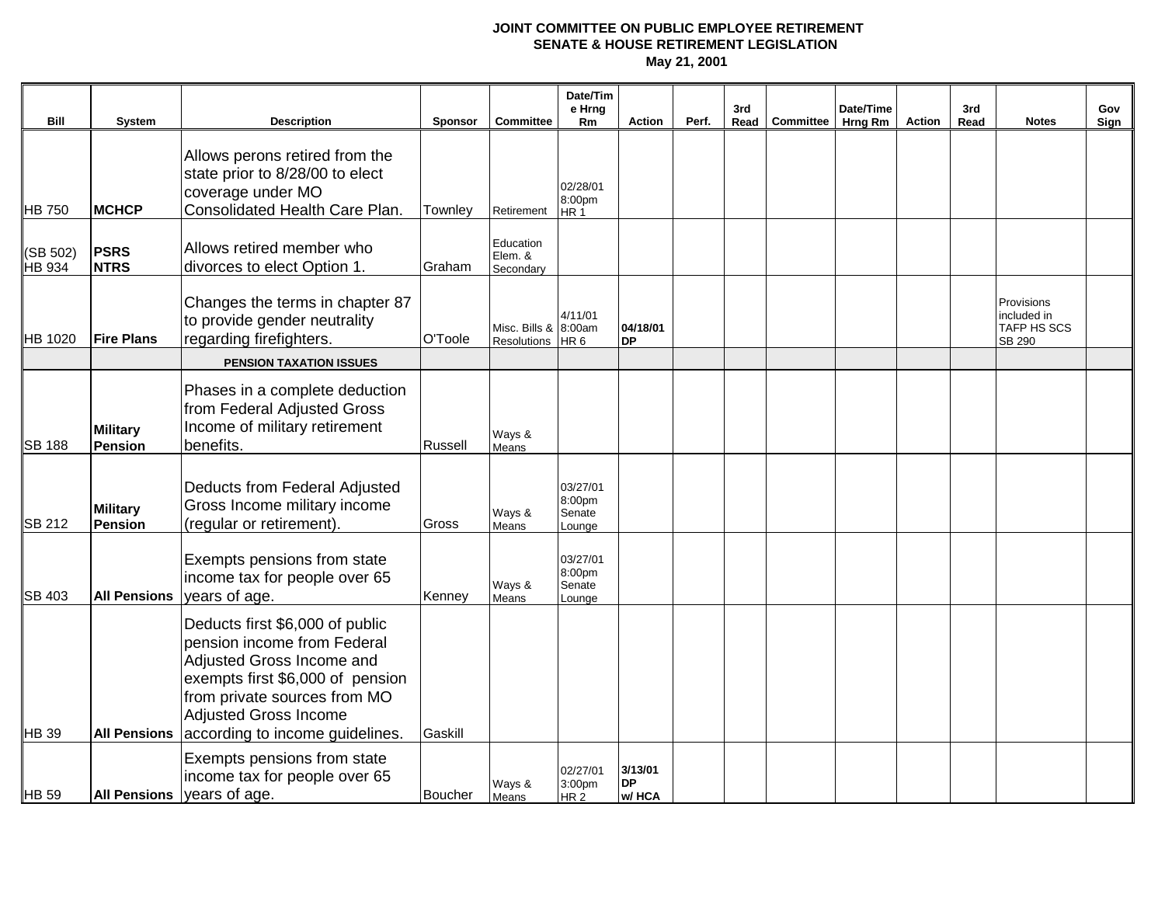|                           |                                   |                                                                                                                                                                                                                                    |                |                                          | Date/Tim<br>e Hrng                            |                               |       | 3rd  |           | Date/Time |        | 3rd  |                                                    | Gov  |
|---------------------------|-----------------------------------|------------------------------------------------------------------------------------------------------------------------------------------------------------------------------------------------------------------------------------|----------------|------------------------------------------|-----------------------------------------------|-------------------------------|-------|------|-----------|-----------|--------|------|----------------------------------------------------|------|
| Bill                      | <b>System</b>                     | <b>Description</b>                                                                                                                                                                                                                 | <b>Sponsor</b> | <b>Committee</b>                         | Rm                                            | <b>Action</b>                 | Perf. | Read | Committee | Hrng Rm   | Action | Read | <b>Notes</b>                                       | Sign |
| <b>HB 750</b>             | <b>MCHCP</b>                      | Allows perons retired from the<br>state prior to 8/28/00 to elect<br>coverage under MO<br>Consolidated Health Care Plan.                                                                                                           | Townley        |                                          | 02/28/01<br>8:00pm                            |                               |       |      |           |           |        |      |                                                    |      |
|                           |                                   |                                                                                                                                                                                                                                    |                | Retirement                               | HR <sub>1</sub>                               |                               |       |      |           |           |        |      |                                                    |      |
| (SB 502)<br><b>HB</b> 934 | <b>PSRS</b><br><b>NTRS</b>        | Allows retired member who<br>divorces to elect Option 1.                                                                                                                                                                           | Graham         | Education<br>Elem. &<br>Secondary        |                                               |                               |       |      |           |           |        |      |                                                    |      |
| <b>HB</b> 1020            | <b>Fire Plans</b>                 | Changes the terms in chapter 87<br>to provide gender neutrality<br>regarding firefighters.                                                                                                                                         | O'Toole        | Misc. Bills & 8:00am<br>Resolutions HR 6 | 4/11/01                                       | 04/18/01<br><b>DP</b>         |       |      |           |           |        |      | Provisions<br>included in<br>TAFP HS SCS<br>SB 290 |      |
|                           |                                   | <b>PENSION TAXATION ISSUES</b>                                                                                                                                                                                                     |                |                                          |                                               |                               |       |      |           |           |        |      |                                                    |      |
| <b>SB 188</b>             | <b>Military</b><br><b>Pension</b> | Phases in a complete deduction<br>from Federal Adjusted Gross<br>Income of military retirement<br>benefits.                                                                                                                        | Russell        | Ways &<br>Means                          |                                               |                               |       |      |           |           |        |      |                                                    |      |
| <b>SB 212</b>             | <b>Military</b><br><b>Pension</b> | Deducts from Federal Adjusted<br>Gross Income military income<br>(regular or retirement).                                                                                                                                          | Gross          | Ways &<br>Means                          | 03/27/01<br>8:00pm<br>Senate<br>Lounge        |                               |       |      |           |           |        |      |                                                    |      |
| <b>SB 403</b>             | <b>All Pensions</b>               | Exempts pensions from state<br>income tax for people over 65<br>years of age.                                                                                                                                                      | Kenney         | Ways &<br>Means                          | 03/27/01<br>8:00pm<br>Senate<br>Lounge        |                               |       |      |           |           |        |      |                                                    |      |
| HB 39                     | <b>All Pensions</b>               | Deducts first \$6,000 of public<br>pension income from Federal<br>Adjusted Gross Income and<br>exempts first \$6,000 of pension<br>from private sources from MO<br><b>Adjusted Gross Income</b><br>according to income guidelines. | Gaskill        |                                          |                                               |                               |       |      |           |           |        |      |                                                    |      |
| <b>HB</b> 59              | <b>All Pensions</b>               | Exempts pensions from state<br>income tax for people over 65<br>years of age.                                                                                                                                                      | <b>Boucher</b> | Ways &<br>Means                          | 02/27/01<br>3:00 <sub>pm</sub><br><b>HR 2</b> | 3/13/01<br><b>DP</b><br>w/HCA |       |      |           |           |        |      |                                                    |      |